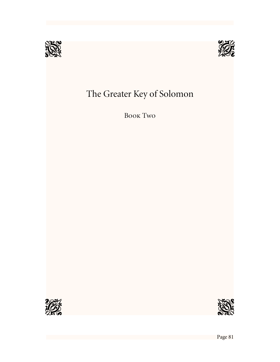



# The Greater Key of Solomon

Book Two



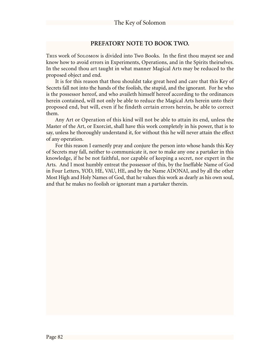### **PREFATORY NOTE TO BOOK TWO.**

This work of Solomon is divided into Two Books. In the first thou mayest see and know how to avoid errors in Experiments, Operations, and in the Spirits theirselves. In the second thou art taught in what manner Magical Arts may be reduced to the proposed object and end.

It is for this reason that thou shouldst take great heed and care that this Key of Secrets fall not into the hands of the foolish, the stupid, and the ignorant. For he who is the possessor hereof, and who availeth himself hereof according to the ordinances herein contained, will not only be able to reduce the Magical Arts herein unto their proposed end, but will, even if he findeth certain errors herein, be able to correct them.

Any Art or Operation of this kind will not be able to attain its end, unless the Master of the Art, or Exorcist, shall have this work completely in his power, that is to say, unless he thoroughly understand it, for without this he will never attain the effect of any operation.

For this reason I earnestly pray and conjure the person into whose hands this Key of Secrets may fall, neither to communicate it, nor to make any one a partaker in this knowledge, if he be not faithful, nor capable of keeping a secret, nor expert in the Arts. And I most humbly entreat the possessor of this, by the Ineffable Name of God in Four Letters, YOD, HE, VAU, HE, and by the Name ADONAI, and by all the other Most High and Holy Names of God, that he values this work as dearly as his own soul, and that he makes no foolish or ignorant man a partaker therein.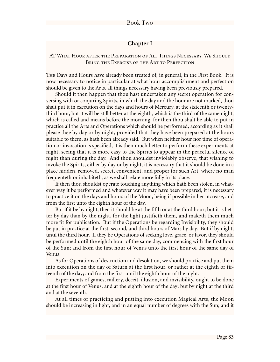### **Chapter I**

#### AT What Hour after the Preparation of All Things Necessary, We Should Bring the Exercise of the Art to Perfection

The Days and Hours have already been treated of, in general, in the First Book. It is now necessary to notice in particular at what hour accomplishment and perfection should be given to the Arts, all things necessary having been previously prepared.

Should it then happen that thou hast undertaken any secret operation for conversing with or conjuring Spirits, in which the day and the hour are not marked, thou shalt put it in execution on the days and hours of Mercury, at the sixteenth or twentythird hour, but it will be still better at the eighth, which is the third of the same night, which is called and means before the morning, for then thou shalt be able to put in practice all the Arts and Operations which should he performed, according as it shall please thee by day or by night, provided that they have been prepared at the hours suitable to them, as hath been already said. But when neither hour nor time of operation or invocation is specified, it is then much better to perform these experiments at night, seeing that it is more easy to the Spirits to appear in the peaceful silence of night than during the day. And thou shouldst inviolably observe, that wishing to invoke the Spirits, either by day or by night, it is necessary that it should be done in a place hidden, removed, secret, convenient, and proper for such Art, where no man frequenteth or inhabiteth, as we shall relate more fully in its place.

If then thou shouldst operate touching anything which hath been stolen, in whatever way it be performed and whatever way it may have been prepared, it is necessary to practice it on the days and hours of the Moon, being if possible in her increase, and from the first unto the eighth hour of the day.

But if it be by night, then it should be at the fifth or at the third hour; but it is better by day than by the night, for the light justifieth them, and maketh them much more fit for publication. But if the Operations be regarding Invisibility, they should be put in practice at the first, second, and third hours of Mars by day. But if by night, until the third hour. If they be Operations of seeking love, grace, or favor, they should be performed until the eighth hour of the same day, commencing with the first hour of the Sun; and from the first hour of Venus unto the first hour of the same day of Venus.

As for Operations of destruction and desolation, we should practice and put them into execution on the day of Saturn at the first hour, or rather at the eighth or fifteenth of the day; and from the first until the eighth hour of the night.

Experiments of games, raillery, deceit, illusion, and invisibility, ought to be done at the first hour of Venus, and at the eighth hour of the day; but by night at the third and at the seventh.

At all times of practicing and putting into execution Magical Arts, the Moon should be increasing in light, and in an equal number of degrees with the Sun; and it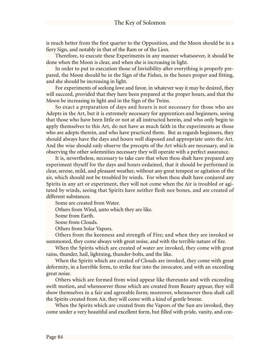is much better from the first quarter to the Opposition, and the Moon should be in a fiery Sign, and notably in that of the Ram or of the Lion.

Therefore, to execute these Experiments in any manner whatsoever, it should be done when the Moon is clear, and when she is increasing in light.

In order to put in execution those of Invisibility after everything is properly prepared, the Moon should be in the Sign of the Fishes, in the hours proper and fitting, and she should be increasing in light.

For experiments of seeking love and favor, in whatever way it may be desired, they will succeed, provided that they have been prepared at the proper hours, and that the Moon be increasing in light and in the Sign of the Twins.

So exact a preparation of days and hours is not necessary for those who are Adepts in the Art, but it is extremely necessary for apprentices and beginners, seeing that those who have been little or not at all instructed herein, and who only begin to apply themselves to this Art, do not have as much faith in the experiments as those who are adepts therein, and who have practiced them. But as regards beginners, they should always have the days and hours well disposed and appropriate unto the Art. And the wise should only observe the precepts of the Art which are necessary, and in observing the other solemnities necessary they will operate with a perfect assurance.

It is, nevertheless, necessary to take care that when thou shalt have prepared any experiment thyself for the days and hours ordained, that it should be performed in clear, serene, mild, and pleasant weather, without any great tempest or agitation of the air, which should not be troubled by winds. For when thou shalt have conjured any Spirits in any art or experiment, they will not come when the Air is troubled or agitated by winds, seeing that Spirits have neither flesh nor bones, and are created of different substances.

Some are created from Water.

Others from Wind, unto which they are like.

Some from Earth.

Some from Clouds.

Others from Solar Vapors.

Others from the keenness and strength of Fire; and when they are invoked or summoned, they come always with great noise, and with the terrible nature of fire.

When the Spirits which are created of water are invoked, they come with great rains, thunder, hail, lightning, thunder-bolts, and the like.

When the Spirits which are created of Clouds are invoked, they come with great deformity, in a horrible form, to strike fear into the invocator, and with an exceeding great noise.

Others which are formed from wind appear like thereunto and with exceeding swift motion, and whensoever those which are created from Beauty appear, they will show themselves in a fair and agreeable form; moreover, whensoever thou shalt call the Spirits created from Air, they will come with a kind of gentle breeze.

When the Spirits which are created from the Vapors of the Sun are invoked, they come under a very beautiful and excellent form, but filled with pride, vanity, and con-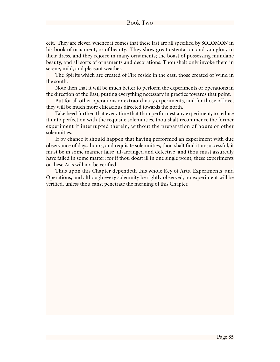ceit. They are clever, whence it comes that these last are all specified by SOLOMON in his book of ornament, or of beauty. They show great ostentation and vainglory in their dress, and they rejoice in many ornaments; the boast of possessing mundane beauty, and all sorts of ornaments and decorations. Thou shalt only invoke them in serene, mild, and pleasant weather.

The Spirits which are created of Fire reside in the east, those created of Wind in the south.

Note then that it will be much better to perform the experiments or operations in the direction of the East, putting everything necessary in practice towards that point.

But for all other operations or extraordinary experiments, and for those of love, they will be much more efficacious directed towards the north.

Take heed further, that every time that thou performest any experiment, to reduce it unto perfection with the requisite solemnities, thou shalt recommence the former experiment if interrupted therein, without the preparation of hours or other solemnities.

If by chance it should happen that having performed an experiment with due observance of days, hours, and requisite solemnities, thou shalt find it unsuccessful, it must be in some manner false, ill-arranged and defective, and thou must assuredly have failed in some matter; for if thou doest ill in one single point, these experiments or these Arts will not be verified.

Thus upon this Chapter dependeth this whole Key of Arts, Experiments, and Operations, and although every solemnity be rightly observed, no experiment will be verified, unless thou canst penetrate the meaning of this Chapter.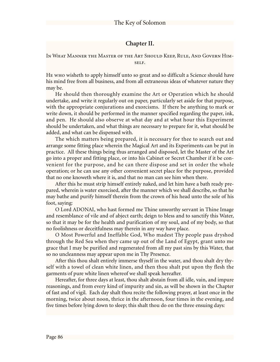### **Chapter II.**

### In What Manner the Master of the Art Should Keep, Rule, And Govern Himself.

He who wisheth to apply himself unto so great and so difficult a Science should have his mind free from all business, and from all extraneous ideas of whatever nature they may be.

He should then thoroughly examine the Art or Operation which he should undertake, and write it regularly out on paper, particularly set aside for that purpose, with the appropriate conjurations and exorcisms. If there be anything to mark or write down, it should be performed in the manner specified regarding the paper, ink, and pen. He should also observe at what day and at what hour this Experiment should be undertaken, and what things are necessary to prepare for it, what should be added, and what can be dispensed with.

The which matters being prepared, it is necessary for thee to search out and arrange some fitting place wherein the Magical Art and its Experiments can be put in practice. All these things being thus arranged and disposed, let the Master of the Art go into a proper and fitting place, or into his Cabinet or Secret Chamber if it be convenient for the purpose, and he can there dispose and set in order the whole operation; or he can use any other convenient secret place for the purpose, provided that no one knoweth where it is, and that no man can see him when there.

After this he must strip himself entirely naked, and let him have a bath ready prepared, wherein is water exorcised, after the manner which we shall describe, so that he may bathe and purify himself therein from the crown of his head unto the sole of his foot, saying:

O Lord ADONAI, who hast formed me Thine unworthy servant in Thine Image and resemblance of vile and of abject earth; deign to bless and to sanctify this Water, so that it may be for the health and purification of my soul, and of my body, so that no foolishness or deceitfulness may therein in any way have place.

O Most Powerful and Ineffable God, Who madest Thy people pass dryshod through the Red Sea when they came up out of the Land of Egypt, grant unto me grace that I may be purified and regenerated from all my past sins by this Water, that so no uncleanness may appear upon me in Thy Presence.

After this thou shalt entirely immerse thyself in the water, and thou shalt dry thyself with a towel of clean white linen, and then thou shalt put upon thy flesh the garments of pure white linen whereof we shall speak hereafter.

Hereafter, for three days at least, thou shalt abstain from all idle, vain, and impure reasonings, and from every kind of impurity and sin, as will be shown in the Chapter of fast and of vigil. Each day shalt thou recite the following prayer, at least once in the morning, twice about noon, thrice in the afternoon, four times in the evening, and five times before lying down to sleep; this shalt thou do on the three ensuing days: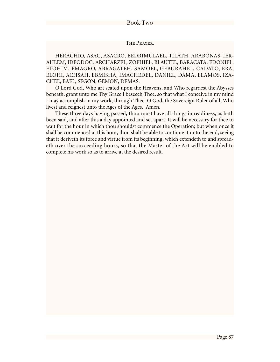#### The Prayer.

HERACHIO, ASAC, ASACRO, BEDRIMULAEL, TILATH, ARABONAS, IER-AHLEM, IDEODOC, ARCHARZEL, ZOPHIEL, BLAUTEL, BARACATA, EDONIEL, ELOHIM, EMAGRO, ABRAGATEH, SAMOEL, GEBURAHEL, CADATO, ERA, ELOHI, ACHSAH, EBMISHA, IMACHEDEL, DANIEL, DAMA, ELAMOS, IZA-CHEL, BAEL, SEGON, GEMON, DEMAS.

O Lord God, Who art seated upon the Heavens, and Who regardest the Abysses beneath, grant unto me Thy Grace I beseech Thee, so that what I conceive in my mind I may accomplish in my work, through Thee, O God, the Sovereign Ruler of all, Who livest and reignest unto the Ages of the Ages. Amen.

These three days having passed, thou must have all things in readiness, as hath been said, and after this a day appointed and set apart. It will be necessary for thee to wait for the hour in which thou shouldst commence the Operation; but when once it shall be commenced at this hour, thou shalt be able to continue it unto the end, seeing that it deriveth its force and virtue from its beginning, which extendeth to and spreadeth over the succeeding hours, so that the Master of the Art will be enabled to complete his work so as to arrive at the desired result.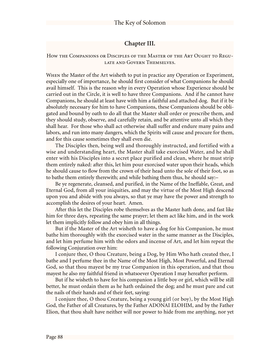### **Chapter III.**

### How the Companions or Disciples of the Master of the Art Ought to Regulate and Govern Themselves.

When the Master of the Art wisheth to put in practice any Operation or Experiment, especially one of importance, he should first consider of what Companions he should avail himself. This is the reason why in every Operation whose Experience should be carried out in the Circle, it is well to have three Companions. And if he cannot have Companions, he should at least have with him a faithful and attached dog. But if it be absolutely necessary for him to have Companions, these Companions should be obligated and bound by oath to do all that the Master shall order or prescribe them, and they should study, observe, and carefully retain, and be attentive unto all which they shall hear. For those who shall act otherwise shall suffer and endure many pains and labors, and run into many dangers, which the Spirits will cause and procure for them, and for this cause sometimes they shall even die.

The Disciples then, being well and thoroughly instructed, and fortified with a wise and understanding heart, the Master shall take exorcised Water, and he shall enter with his Disciples into a secret place purified and clean, where he must strip them entirely naked: after this, let him pour exorcised water upon their heads, which he should cause to flow from the crown of their head unto the sole of their foot, so as to bathe them entirely therewith; and while bathing them thus, he should say:–

Be ye regenerate, cleansed, and purified, in the Name of the Ineffable, Great, and Eternal God, from all your iniquities, and may the virtue of the Most High descend upon you and abide with you always, so that ye may have the power and strength to accomplish the desires of your heart. Amen.

After this let the Disciples robe themselves as the Master hath done, and fast like him for three days, repeating the same prayer; let them act like him, and in the work let them implicitly follow and obey him in all things.

But if the Master of the Art wisheth to have a dog for his Companion, he must bathe him thoroughly with the exorcised water in the same manner as the Disciples, and let him perfume him with the odors and incense of Art, and let him repeat the following Conjuration over him:

I conjure thee, O thou Creature, being a Dog, by Him Who hath created thee, I bathe and I perfume thee in the Name of the Most High, Most Powerful, and Eternal God, so that thou mayest be my true Companion in this operation, and that thou mayest he also my faithful friend in whatsoever Operation I may hereafter perform.

But if he wisheth to have for his companion a little boy or girl, which will be still better, he must ordain them as he hath ordained the dog; and he must pare and cut the nails of their hands and of their feet, saying:

I conjure thee, O thou Creature, being a young girl (or boy), by the Most High God, the Father of all Creatures, by the Father ADONAI ELOHIM, and by the Father Elion, that thou shalt have neither will nor power to hide from me anything, nor yet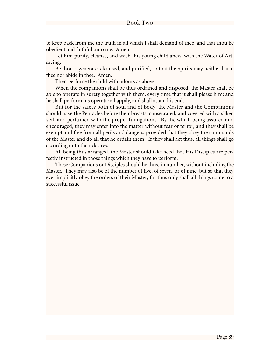to keep back from me the truth in all which I shall demand of thee, and that thou be obedient and faithful unto me. Amen.

Let him purify, cleanse, and wash this young child anew, with the Water of Art, saying:

Be thou regenerate, cleansed, and purified, so that the Spirits may neither harm thee nor abide in thee. Amen.

Then perfume the child with odours as above.

When the companions shall be thus ordained and disposed, the Master shalt be able to operate in surety together with them, every time that it shall please him; and he shall perform his operation happily, and shall attain his end.

But for the safety both of soul and of body, the Master and the Companions should have the Pentacles before their breasts, consecrated, and covered with a silken veil, and perfumed with the proper fumigations. By the which being assured and encouraged, they may enter into the matter without fear or terror, and they shall be exempt and free from all perils and dangers, provided that they obey the commands of the Master and do all that he ordain them. If they shall act thus, all things shall go according unto their desires.

All being thus arranged, the Master should take heed that His Disciples are perfectly instructed in those things which they have to perform.

These Companions or Disciples should be three in number, without including the Master. They may also be of the number of five, of seven, or of nine; but so that they ever implicitly obey the orders of their Master; for thus only shall all things come to a successful issue.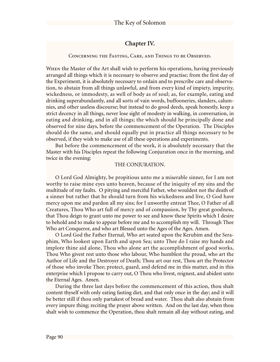### **Chapter IV.**

### Concerning the Fasting, Care, and Things to be Observed.

When the Master of the Art shall wish to perform his operations, having previously arranged all things which it is necessary to observe and practise; from the first day of the Experiment, it is absolutely necessary to ordain and to prescribe care and observation, to abstain from all things unlawful, and from every kind of impiety, impurity, wickedness, or immodesty, as well of body as of soul; as, for example, eating and drinking superabundantly, and all sorts of vain words, buffooneries, slanders, calumnies, and other useless discourse; but instead to do good deeds, speak honestly, keep a strict decency in all things, never lose sight of modesty in walking, in conversation, in eating and drinking, and in all things; the which should he principally done and observed for nine days, before the commencement of the Operation. The Disciples should do the same, and should equally put in practice all things necessary to be observed, if they wish to make use of all these operations and experiments.

But before the commencement of the work, it is absolutely necessary that the Master with his Disciples repeat the following Conjuration once in the morning, and twice in the evening:

### THE CONJURATION.

O Lord God Almighty, be propitious unto me a miserable sinner, for I am not worthy to raise mine eyes unto heaven, because of the iniquity of my sins and the multitude of my faults. O pitying and merciful Father, who wouldest not the death of a sinner but rather that he should turn from his wickedness and live, O God have mercy upon me and pardon all my sins; for I unworthy entreat Thee, O Father of all Creatures, Thou Who art full of mercy and of compassion, by Thy great goodness, that Thou deign to grant unto me power to see and know these Spirits which I desire to behold and to make to appear before me and to accomplish my will. Through Thee Who art Conqueror, and who art Blessed unto the Ages of the Ages. Amen.

O Lord God the Father Eternal, Who art seated upon the Kerubim and the Seraphim, Who lookest upon Earth and upon Sea; unto Thee do I raise my hands and implore thine aid alone, Thou who alone art the accomplishment of good works, Thou Who givest rest unto those who labour, Who humblest the proud, who art the Author of Life and the Destroyer of Death; Thou art our rest, Thou art the Protector of those who invoke Thee; protect, guard, and defend me in this matter, and in this enterprise which I propose to carry out, O Thou who livest, reignest, and abidest unto the Eternal Ages. Amen.

During the three last days before the commencement of this action, thou shalt content thyself with only eating fasting diet, and that only once in the day; and it will be better still if thou only partakest of bread and water. Thou shalt also abstain from every impure thing; reciting the prayer above written. And on the last day, when thou shalt wish to commence the Operation, thou shalt remain all day without eating, and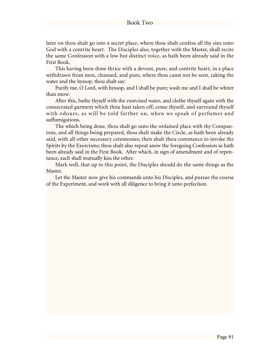later on thou shalt go into a secret place, where thou shalt confess all thy sins unto God with a contrite heart. The Disciples also, together with the Master, shall recite the same Confession with a low but distinct voice, as hath been already said in the First Book.

This having been done thrice with a devout, pure, and contrite heart, in a place withdrawn from men, cleansed, and pure, where thou canst not be seen, taking the water and the hyssop, thou shalt say:

Purify me, O Lord, with hyssop, and I shall be pure; wash me and I shall be whiter than snow.

After this, bathe thyself with the exorcised water, and clothe thyself again with the consecrated garment which thou hast taken off; cense thyself, and surround thyself with odours, as will be told farther on, when we speak of perfumes and suffumigations.

The which being done, thou shalt go unto the ordained place with thy Companions, and all things being prepared, thou shalt make the Circle, as hath been already said, with all other necessary ceremonies; then shalt thou commence to invoke the Spirits by the Exorcisms; thou shalt also repeat anew the foregoing Confession as hath been already said in the First Book. After which, in sign of amendment and of repentance, each shall mutually kiss the other.

Mark well, that up to this point, the Disciples should do the same things as the Master.

Let the Master now give his commands unto his Disciples, and pursue the course of the Experiment, and work with all diligence to bring it unto perfection.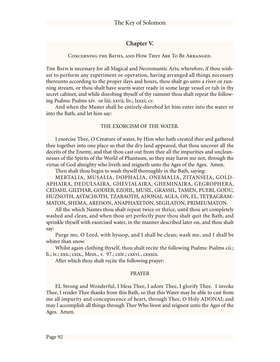### **Chapter V.**

### Concerning the Baths, and How They Are To Be Arranged.

The Bath is necessary for all Magical and Necromantic Arts; wherefore, if thou wishest to perform any experiment or operation, having arranged all things necessary thereunto according to the proper days and hours, thou shalt go unto a river or running stream, or thou shalt have warm water ready in some large vessel or tub in thy secret cabinet, and while disrobing thyself of thy raiment thou shalt repeat the following Psalms: Psalms xiv. or liii; xxvii; liv.; lxxxi; cv.

And when the Master shall be entirely disrobed let him enter into the water or into the Bath, and let him say:

### THE EXORCISM OF THE WATER.

I exorcise Thee, O Creature of water, by Him who hath created thee and gathered thee together into one place so that the dry land appeared, that thou uncover all the deceits of the Enemy, and that thou cast out from thee all the impurities and uncleannesses of the Spirits of the World of Phantasm, so they may harm me not, through the virtue of God almighty who liveth and reigneth unto the Ages of the Ages. Amen.

Then shalt thou begin to wash thyself thoroughly in the Bath, saying:

MERTALIA, MUSALIA, DOPHALIA, ONEMALIA, ZITANSEIA, GOLD-APHAIRA, DEDULSAIRA, GHEVIALAIRA, GHEMINAIRA, GEGROPHERA, CEDAHI, GILTHAR, GODIEB, EZOIIL, MUSIL, GRASSIL, TAMEN, PUERI, GODU, HUZNOTH, ASTACHOTH, TZABAOTH, ADONAI, AGLA, ON, EL, TETRAGRAM-MATON, SHEMA, AREISON, ANAPHAXETON, SEGILATON, PRIMEUMATON.

All the which Names thou shalt repeat twice or thrice, until thou art completely washed and clean, and when thou art perfectly pure thou shalt quit the Bath, and sprinkle thyself with exorcised water, in the manner described later on, and thou shalt say:

Purge me, O Lord, with hyssop, and I shall be clean; wash me, and I shall be whiter than snow.

Whilst again clothing thyself, thou shalt recite the following Psalms: Psalms cii.; li.; iv.; xxx.; cxix., Mem., v. 97.; cxiv.; cxxvi., cxxxix.

After which thou shalt recite the following prayer:

### PRAYER

EL Strong and Wonderful, I bless Thee, I adore Thee, I glorify Thee. I invoke Thee, I render Thee thanks from this Bath, so that this Water may be able to cast from me all impurity and concupiscence of heart, through Thee, O Holy ADONAI; and may I accomplish all things through Thee Who livest and reignest unto the Ages of the Ages. Amen.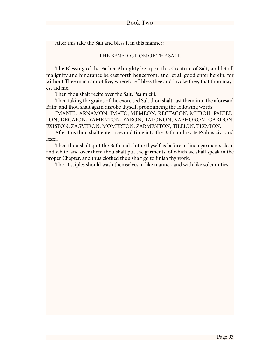After this take the Salt and bless it in this manner:

### THE BENEDICTION OF THE SALT.

The Blessing of the Father Almighty be upon this Creature of Salt, and let all malignity and hindrance be cast forth hencefrom, and let all good enter herein, for without Thee man cannot live, wherefore I bless thee and invoke thee, that thou mayest aid me.

Then thou shalt recite over the Salt, Psalm ciii.

Then taking the grains of the exorcised Salt thou shalt cast them into the aforesaid Bath; and thou shalt again disrobe thyself, pronouncing the following words:

IMANEL, ARNAMON, IMATO, MEMEON, RECTACON, MUBOII, PALTEL-LON, DECAION, YAMENTON, YARON, TATONON, VAPHORON, GARDON, EXISTON, ZAGVERON, MOMERTON, ZARMESITON, TILEION, TIXMION.

After this thou shalt enter a second time into the Bath and recite Psalms civ. and lxxxi.

Then thou shalt quit the Bath and clothe thyself as before in linen garments clean and white, and over them thou shalt put the garments, of which we shall speak in the proper Chapter, and thus clothed thou shalt go to finish thy work.

The Disciples should wash themselves in like manner, and with like solemnities.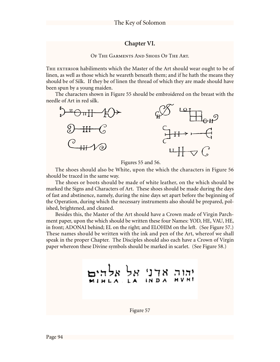### **Chapter VI.**

### Of The Garments And Shoes Of The Art.

THE EXTERIOR habiliments which the Master of the Art should wear ought to be of linen, as well as those which he weareth beneath them; and if he hath the means they should be of Silk. If they be of linen the thread of which they are made should have been spun by a young maiden.

The characters shown in Figure 55 should be embroidered on the breast with the needle of Art in red silk.



Figures 55 and 56.

The shoes should also be White, upon the which the characters in Figure 56 should be traced in the same way.

The shoes or boots should be made of white leather, on the which should be marked the Signs and Characters of Art. These shoes should be made during the days of fast and abstinence, namely, during the nine days set apart before the beginning of the Operation, during which the necessary instruments also should be prepared, polished, brightened, and cleaned.

Besides this, the Master of the Art should have a Crown made of Virgin Parchment paper, upon the which should be written these four Names: YOD, HE, VAU, HE, in front; ADONAI behind; EL on the right; and ELOHIM on the left. (See Figure 57.) These names should be written with the ink and pen of the Art, whereof we shall speak in the proper Chapter. The Disciples should also each have a Crown of Virgin paper whereon these Divine symbols should be marked in scarlet. (See Figure 58.)

Figure 57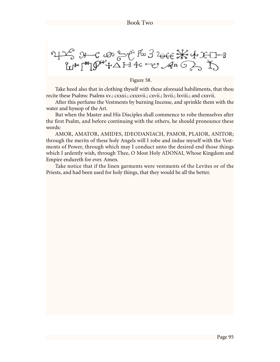$9 + 2^6$   $9 - 6$   $10^6$   $10^6$   $10^6$   $3$   $2066$   $10^6$   $10^6$   $10^7$   $10^6$   $10^7$   $10^7$   $10^6$   $10^7$   $10^7$   $10^7$   $10^7$   $10^7$   $10^7$   $10^7$   $10^7$   $10^7$   $10^7$   $10^7$   $10^7$   $10^7$   $10^7$   $10^7$   $10^7$   $10^7$   $10^7$ 

Figure 58.

Take heed also that in clothing thyself with these aforesaid habiliments, that thou recite these Psalms: Psalms xv.; cxxxi.; cxxxvii.; cxvii.; lxvii.; lxviii.; and cxxvii.

After this perfume the Vestments by burning Incense, and sprinkle them with the water and hyssop of the Art.

But when the Master and His Disciples shall commence to robe themselves after the first Psalm, and before continuing with the others, he should pronounce these words:

AMOR, AMATOR, AMIDES, IDEODANIACH, PAMOR, PLAIOR, ANITOR; through the merits of these holy Angels will I robe and indue myself with the Vestments of Power, through which may I conduct unto the desired end those things which I ardently wish, through Thee, O Most Holy ADONAI, Whose Kingdom and Empire endureth for ever. Amen.

Take notice that if the linen garments were vestments of the Levites or of the Priests, and had been used for holy things, that they would be all the better.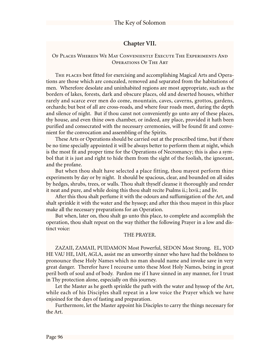### The Key of Solomon

### **Chapter VII.**

#### Of Places Wherein We May Conveniently Execute The Experiments And OPERATIONS OF THE ART

The places best fitted for exercising and accomplishing Magical Arts and Operations are those which are concealed, removed and separated from the habitations of men. Wherefore desolate and uninhabited regions are most appropriate, such as the borders of lakes, forests, dark and obscure places, old and deserted houses, whither rarely and scarce ever men do come, mountain, caves, caverns, grottos, gardens, orchards; but best of all are cross-roads, and where four roads meet, during the depth and silence of night. But if thou canst not conveniently go unto any of these places, thy house, and even thine own chamber, or indeed, any place, provided it hath been purified and consecrated with the necessary ceremonies, will be found fit and convenient for the convocation and assembling of the Spirits.

These Arts or Operations should be carried out at the prescribed time, but if there be no time specially appointed it will be always better to perform them at night, which is the most fit and proper time for the Operations of Necromancy; this is also a symbol that it is just and right to hide them from the sight of the foolish, the ignorant, and the profane.

But when thou shalt have selected a place fitting, thou mayest perform thine experiments by day or by night. It should be spacious, clear, and bounded on all sides by hedges, shrubs, trees, or walls. Thou shalt thyself cleanse it thoroughly and render it neat and pure, and while doing this thou shalt recite Psalms ii.; lxvii.; and liv.

After this thou shalt perfume it with the odours and suffumigation of the Art, and shalt sprinkle it with the water and the hyssop; and after this thou mayest in this place make all the necessary preparations for an Operation.

But when, later on, thou shalt go unto this place, to complete and accomplish the operation, thou shalt repeat on the way thither the following Prayer in a low and distinct voice:

#### THE PRAYER.

ZAZAII, ZAMAII, PUIDAMON Most Powerful, SEDON Most Strong. EL, YOD HE VAU HE, IAH, AGLA, assist me an unworthy sinner who have had the boldness to pronounce these Holy Names which no man should name and invoke save in very great danger. Therefor have I recourse unto these Most Holy Names, being in great peril both of soul and of body. Pardon me if I have sinned in any manner, for I trust in Thy protection alone, especially on this journey.

Let the Master as he goeth sprinkle the path with the water and hyssop of the Art, while each of his Disciples shall repeat in a low voice the Prayer which we have enjoined for the days of fasting and preparation.

Furthermore, let the Master appoint his Disciples to carry the things necessary for the Art.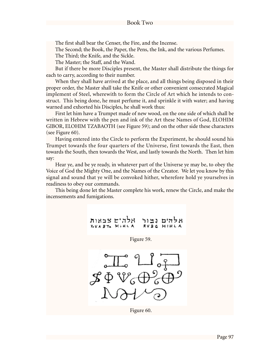The first shall bear the Censer, the Fire, and the Incense.

The Second; the Book, the Paper, the Pens, the Ink, and the various Perfumes.

The Third; the Knife, and the Sickle.

The Master; the Staff, and the Wand.

But if there be more Disciples present, the Master shall distribute the things for each to carry, according to their number.

When they shall have arrived at the place, and all things being disposed in their proper order, the Master shall take the Knife or other convenient consecrated Magical implement of Steel, wherewith to form the Circle of Art which he intends to construct. This being done, he must perfume it, and sprinkle it with water; and having warned and exhorted his Disciples, he shall work thus:

First let him have a Trumpet made of new wood, on the one side of which shall be written in Hebrew with the pen and ink of the Art these Names of God, ELOHIM GIBOR, ELOHIM TZABAOTH (see Figure 59); and on the other side these characters (see Figure 60).

Having entered into the Circle to perform the Experiment, he should sound his Trumpet towards the four quarters of the Universe, first towards the East, then towards the South, then towards the West, and lastly towards the North. Then let him say:

Hear ye, and be ye ready, in whatever part of the Universe ye may be, to obey the Voice of God the Mighty One, and the Names of the Creator. We let you know by this signal and sound that ye will be convoked hither, wherefore hold ye yourselves in readiness to obey our commands.

This being done let the Master complete his work, renew the Circle, and make the incensements and fumigations.

#### אלהים צבאות אלהים גבור LVABT. MIHLA RVBC MIHLA

Figure 59.



Figure 60.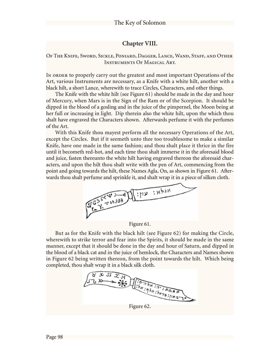### **Chapter VIII.**

### Of The Knife, Sword, Sickle, Poniard, Dagger, Lance, Wand, Staff, and Other Instruments Of Magical Art.

In order to properly carry out the greatest and most important Operations of the Art, various Instruments are necessary, as a Knife with a white hilt, another with a black hilt, a short Lance, wherewith to trace Circles, Characters, and other things.

The Knife with the white hilt (see Figure 61) should be made in the day and hour of Mercury, when Mars is in the Sign of the Ram or of the Scorpion. It should be dipped in the blood of a gosling and in the juice of the pimpernel, the Moon being at her full or increasing in light. Dip therein also the white hilt, upon the which thou shalt have engraved the Characters shown. Afterwards perfume it with the perfumes of the Art.

With this Knife thou mayest perform all the necessary Operations of the Art, except the Circles. But if it seemeth unto thee too troublesome to make a similar Knife, have one made in the same fashion; and thou shalt place it thrice in the fire until it becometh red-hot, and each time thou shalt immerse it in the aforesaid blood and juice, fasten thereunto the white hilt having engraved thereon the aforesaid characters, and upon the hilt thou shalt write with the pen of Art, commencing from the point and going towards the hilt, these Names Agla, On, as shown in Figure 61. After-



Figure 61.

But as for the Knife with the black hilt (see Figure 62) for making the Circle, wherewith to strike terror and fear into the Spirits, it should be made in the same manner, except that it should be done in the day and hour of Saturn, and dipped in the blood of a black cat and in the juice of hemlock, the Characters and Names shown in Figure 62 being written thereon, from the point towards the hilt. Which being completed, thou shalt wrap it in a black silk cloth.



Figure 62.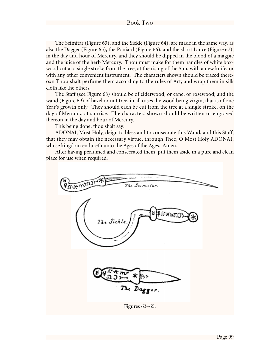The Scimitar (Figure 63), and the Sickle (Figure 64), are made in the same way, as also the Dagger (Figure 65), the Poniard (Figure 66), and the short Lance (Figure 67), in the day and hour of Mercury, and they should be dipped in the blood of a magpie and the juice of the herb Mercury. Thou must make for them handles of white boxwood cut at a single stroke from the tree, at the rising of the Sun, with a new knife, or with any other convenient instrument. The characters shown should be traced thereoxn Thou shalt perfume them according to the rules of Art; and wrap them in silk cloth like the others.

The Staff (see Figure 68) should be of elderwood, or cane, or rosewood; and the wand (Figure 69) of hazel or nut tree, in all cases the wood being virgin, that is of one Year's growth only. They should each be cut from the tree at a single stroke, on the day of Mercury, at sunrise. The characters shown should be written or engraved thereon in the day and hour of Mercury.

This being done, thou shalt say:

ADONAI, Most Holy, deign to bless and to consecrate this Wand, and this Staff, that they mav obtain the necessary virtue, through Thee, O Most Holy ADONAI, whose kingdom endureth unto the Ages of the Ages. Amen.

After having perfumed and consecrated them, put them aside in a pure and clean place for use when required.



Figures 63–65.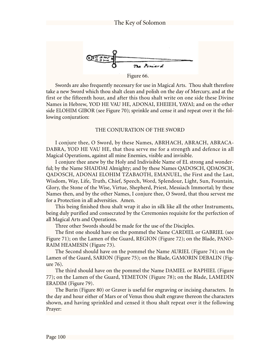

Figure 66.

Swords are also frequently necessary for use in Magical Arts. Thou shalt therefore take a new Sword which thou shalt clean and polish on the day of Mercury, and at the first or the fifteenth hour, and after this thou shalt write on one side these Divine Names in Hebrew, YOD HE VAU HE, ADONAI, EHEIEH, YAYAI; and on the other side ELOHIM GIBOR (see Figure 70); sprinkle and cense it and repeat over it the following conjuration:

#### THE CONJURATION OF THE SWORD

I conjure thee, O Sword, by these Names, ABRHACH, ABRACH, ABRACA-DABRA, YOD HE VAU HE, that thou serve me for a strength and defence in all Magical Operations, against all mine Enemies, visible and invisible.

I conjure thee anew by the Holy and Indivisible Name of EL strong and wonderful; by the Name SHADDAI Almighty; and by these Names QADOSCH, QDAOSCH, QADOSCH, ADONAI ELOHIM TZABAOTH, EMANUEL, the First and the Last, Wisdom, Way, Life, Truth, Chief, Speech, Word, Splendour, Light, Sun, Fountain, Glory, the Stone of the Wise, Virtue, Shepherd, Priest, Messiach Immortal; by these Names then, and by the other Names, I conjure thee, O Sword, that thou servest me for a Protection in all adversities. Amen.

This being finished thou shalt wrap it also in silk like all the other Instruments, being duly purified and consecrated by the Ceremonies requisite for the perfection of all Magical Arts and Operations.

Three other Swords should be made for the use of the Disciples.

The first one should have on the pommel the Name CARDIEL or GABRIEL (see Figure 71); on the Lamen of the Guard, REGION (Figure 72); on the Blade, PANO-RAIM HEAMESIN (Figure 73).

The Second should have on the pommel the Name AURIEL (Figure 74); on the Lamen of the Guard, SARION (Figure 75); on the Blade, GAMORIN DEBALIN (Figure 76).

The third should have on the pommel the Name DAMIEL or RAPHIEL (Figure 77); on the Lamen of the Guard, YEMETON (Figure 78); on the Blade, LAMEDIN ERADIM (Figure 79).

The Burin (Figure 80) or Graver is useful for engraving or incising characters. In the day and hour either of Mars or of Venus thou shalt engrave thereon the characters shown, and having sprinkled and censed it thou shalt repeat over it the following Prayer: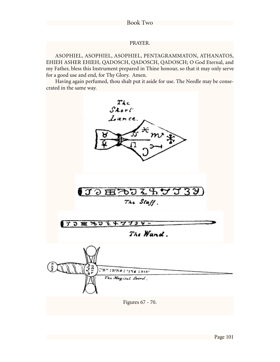### PRAYER.

ASOPHIEL, ASOPHIEL, ASOPHIEL, PENTAGRAMMATON, ATHANATOS, EHIEH ASHER EHIEH, QADOSCH, QADOSCH, QADOSCH; O God Eternal, and my Father, bless this Instrument prepared in Thine honour, so that it may only serve for a good use and end, for Thy Glory. Amen.

Having again perfumed, thou shalt put it aside for use. The Needle may be consecrated in the same way.



Figures 67 - 70.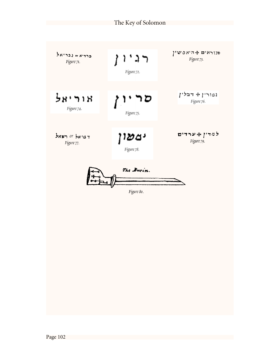

Fígure 80.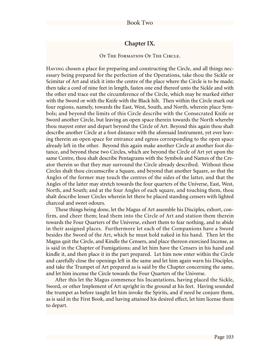### **Chapter IX.**

#### Of The Formation Of The Circle.

Having chosen a place for preparing and constructing the Circle, and all things necessary being prepared for the perfection of the Operations, take thou the Sickle or Scimitar of Art and stick it into the centre of the place where the Circle is to be made; then take a cord of nine feet in length, fasten one end thereof unto the Sickle and with the other end trace out the circumference of the Circle, which may be marked either with the Sword or with the Knife with the Black hilt. Then within the Circle mark out four regions, namely, towards the East, West, South, and North, wherein place Symbols; and beyond the limits of this Circle describe with the Consecrated Knife or Sword another Circle, but leaving an open space therein towards the North whereby thou mayest enter and depart beyond the Circle of Art. Beyond this again thou shalt describe another Circle at a foot distance with the aforesaid Instrument, yet ever leaving therein an open space for entrance and egress corresponding to the open space already left in the other. Beyond this again make another Circle at another foot distance, and beyond these two Circles, which are beyond the Circle of Art yet upon the same Centre, thou shalt describe Pentagrams with the Symbols and Names of the Creator therein so that they may surround the Circle already described. Without these Circles shalt thou circumscribe a Square, and beyond that another Square, so that the Angles of the former may touch the centres of the sides of the latter, and that the Angles of the latter may stretch towards the four quarters of the Universe, East, West, North, and South; and at the four Angles of each square, and touching them, thou shalt describe lesser Circles wherein let there be placed standing censers with lighted charcoal and sweet odours.

These things being done, let the Magus of Art assemble his Disciples, exhort, confirm, and cheer them; lead them into the Circle of Art and station them therein towards the Four Quarters of the Universe, exhort them to fear nothing, and to abide in their assigned places. Furthermore let each of the Companions have a Sword besides the Sword of the Art, which he must hold naked in his hand. Then let the Magus quit the Circle, and Kindle the Censers, and place thereon exorcised Incense, as is said in the Chapter of Fumigations; and let him have the Censers in his hand and kindle it, and then place it in the part prepared. Let him now enter within the Circle and carefully close the openings left in the same and let him again warn his Disciples, and take the Trumpet of Art prepared as is said by the Chapter concerning the same, and let him incense the Circle towards the Four Quarters of the Universe.

After this let the Magus commence his Incantations, having placed the Sickle, Sword, or other Implement of Art upright in the ground at his feet. Having sounded the trumpet as before taught let him invoke the Spirits, and if need be conjure them, as is said in the First Book, and having attained his desired effect, let him license them to depart.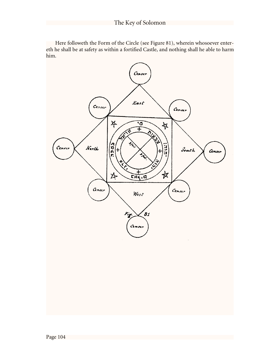Here followeth the Form of the Circle (see Figure 81), wherein whosoever entereth he shall be at safety as within a fortified Castle, and nothing shall he able to harm him.

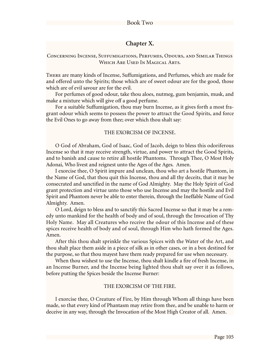### **Chapter X.**

#### Concerning Incense, Suffumigations, Perfumes, Odours, and Similar Things WHICH ARE USED IN MAGICAL ARTS.

There are many kinds of Incense, Suffumigations, and Perfumes, which are made for and offered unto the Spirits; those which are of sweet odour are for the good, those which are of evil savour are for the evil.

For perfumes of good odour, take thou aloes, nutmeg, gum benjamin, musk, and make a mixture which will give off a good perfume.

For a suitable Suffumigation, thou may burn Incense, as it gives forth a most fragrant odour which seems to possess the power to attract the Good Spirits, and force the Evil Ones to go away from thee; over which thou shalt say:

#### THE EXORCISM OF INCENSE.

O God of Abraham, God of Isaac, God of Jacob, deign to bless this odoriferous Incense so that it may receive strength, virtue, and power to attract the Good Spirits, and to banish and cause to retire all hostile Phantoms. Through Thee, O Most Holy Adonai, Who livest and reignest unto the Ages of the Ages. Amen.

I exorcise thee, O Spirit impure and unclean, thou who art a hostile Phantom, in the Name of God, that thou quit this Incense, thou and all thy deceits, that it may be consecrated and sanctified in the name of God Almighty. May the Holy Spirit of God grant protection and virtue unto those who use Incense and may the hostile and Evil Spirit and Phantom never be able to enter therein, through the Ineffable Name of God Almighty. Amen.

O Lord, deign to bless and to sanctify this Sacred Incense so that it may be a remedy unto mankind for the health of body and of soul, through the Invocation of Thy Holy Name. May all Creatures who receive the odour of this Incense and of these spices receive health of body and of soul, through Him who hath formed the Ages. Amen.

After this thou shalt sprinkle the various Spices with the Water of the Art, and thou shalt place them aside in a piece of silk as in other cases, or in a box destined for the purpose, so that thou mayest have them ready prepared for use when necessary.

When thou wishest to use the Incense, thou shalt kindle a fire of fresh Incense, in an Incense Burner, and the Incense being lighted thou shalt say over it as follows, before putting the Spices beside the Incense Burner:

#### THE EXORCISM OF THE FIRE.

I exorcise thee, O Creature of Fire, by Him through Whom all things have been made, so that every kind of Phantasm may retire from thee, and be unable to harm or deceive in any way, through the Invocation of the Most High Creator of all. Amen.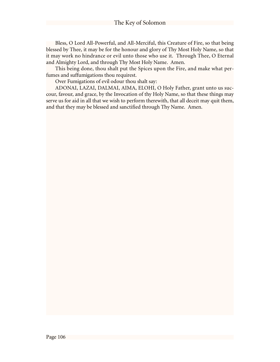Bless, O Lord All-Powerful, and All-Merciful, this Creature of Fire, so that being blessed by Thee, it may be for the honour and glory of Thy Most Holy Name, so that it may work no hindrance or evil unto those who use it. Through Thee, O Eternal and Almighty Lord, and through Thy Most Holy Name. Amen.

This being done, thou shalt put the Spices upon the Fire, and make what perfumes and suffumigations thou requirest.

Over Fumigations of evil odour thou shalt say:

ADONAI, LAZAI, DALMAI, AIMA, ELOHI, O Holy Father, grant unto us succour, favour, and grace, by the Invocation of thy Holy Name, so that these things may serve us for aid in all that we wish to perform therewith, that all deceit may quit them, and that they may be blessed and sanctified through Thy Name. Amen.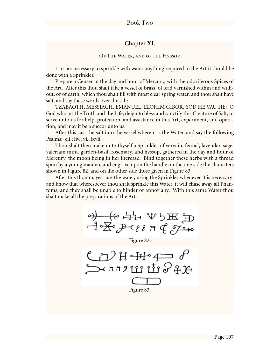### **Chapter XI.**

#### Of The Water, and of the Hyssop.

IF IT BE necessary to sprinkle with water anything required in the Art it should be done with a Sprinkler.

Prepare a Censer in the day and hour of Mercury, with the odoriferous Spices of the Art. After this thou shalt take a vessel of brass, of lead varnished within and without, or of earth, which thou shalt fill with most clear spring water, and thou shalt have salt, and say these words over the salt:

TZABAOTH, MESSIACH, EMANUEL, ELOHIM GIBOR, YOD HE VAU HE: O God who art the Truth and the Life, deign to bless and sanctify this Creature of Salt, to serve unto us for help, protection, and assistance in this Art, experiment, and operation, and may it be a succor unto us.

After this cast the salt into the vessel wherein is the Water, and say the following Psalms: cii.; liv.; vi.; lxvii.

Thou shalt then make unto thyself a Sprinkler of vervain, fennel, lavender, sage, valeriain mint, garden-basil, rosemary, and hyssop, gathered in the day and hour of Mercury, the moon being in her increase. Bind together these herbs with a thread spun by a young maiden, and engrave upon the handle on the one side the characters shown in Figure 82, and on the other side those given in Figure 83.

After this thou mayest use the water, using the Sprinkler whenever it is necessary; and know that wheresoever thou shalt sprinkle this Water, it will chase away all Phantoms, and they shall be unable to hinder or annoy any. With this same Water thou shalt make all the preparations of the Art.



Figure 82.

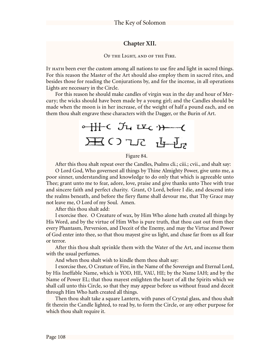### **Chapter XII.**

### Of the Light, and of the Fire.

It hat have been ever the custom among all nations to use fire and light in sacred things. For this reason the Master of the Art should also employ them in sacred rites, and besides those for reading the Conjurations by, and for the incense, in all operations Lights are necessary in the Circle.

For this reason he should make candles of virgin wax in the day and hour of Mercury; the wicks should have been made by a young girl; and the Candles should be made when the moon is in her increase, of the weight of half a pound each, and on them thou shalt engrave these characters with the Dagger, or the Burin of Art.

$$
\overbrace{AB} \subset \overbrace{CD} \quad \overline{LC} \quad \overline{H} \quad \overline{L}_E
$$

### Figure 84.

After this thou shalt repeat over the Candles, Psalms cli.; ciii.; cvii., and shalt say:

O Lord God, Who governest all things by Thine Almighty Power, give unto me, a poor sinner, understanding and knowledge to do only that which is agreeable unto Thee; grant unto me to fear, adore, love, praise and give thanks unto Thee with true and sincere faith and perfect charity. Grant, O Lord, before I die, and descend into the realms beneath, and before the fiery flame shall devour me, that Thy Grace may not leave me, O Lord of my Soul. Amen.

After this thou shalt add:

I exorcise thee. O Creature of wax, by Him Who alone hath created all things by His Word, and by the virtue of Him Who is pure truth, that thou cast out from thee every Phantasm, Perversion, and Deceit of the Enemy, and may the Virtue and Power of God enter into thee, so that thou mayest give us light, and chase far from us all fear or terror.

After this thou shalt sprinkle them with the Water of the Art, and incense them with the usual perfumes.

And when thou shalt wish to kindle them thou shalt say:

I exorcise thee, O Creature of Fire, in the Name of the Sovereign and Eternal Lord, by His Ineffable Name, which is YOD, HE, VAU, HE; by the Name IAH; and by the Name of Power EL; that thou mayest enlighten the heart of all the Spirits which we shall call unto this Circle, so that they may appear before us without fraud and deceit through Him Who hath created all things.

Then thou shalt take a square Lantern, with panes of Crystal glass, and thou shalt fit therein the Candle lighted, to read by, to form the Circle, or any other purpose for which thou shalt require it.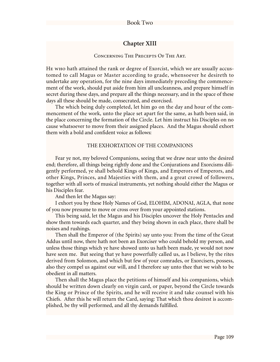### **Chapter XIII**

#### Concerning The Precepts Of The Art.

He who hath attained the rank or degree of Exorcist, which we are usually accustomed to call Magus or Master according to grade, whensoever he desireth to undertake any operation, for the nine days immediately preceding the commencement of the work, should put aside from him all uncleanness, and prepare himself in secret during these days, and prepare all the things necessary, and in the space of these days all these should be made, consecrated, and exorcised.

The which being duly completed, let him go on the day and hour of the commencement of the work, unto the place set apart for the same, as hath been said, in the place concerning the formation of the Circle. Let him instruct his Disciples on no cause whatsoever to move from their assigned places. And the Magus should exhort them with a bold and confident voice as follows:

#### THE EXHORTATION OF THE COMPANIONS

Fear ye not, my beloved Companions, seeing that we draw near unto the desired end; therefore, all things being rightly done and the Conjurations and Exorcisms diligently performed, ye shall behold Kings of Kings, and Emperors of Emperors, and other Kings, Princes, and Majesties with them, and a great crowd of followers, together with all sorts of musical instruments, yet nothing should either the Magus or his Disciples fear.

And then let the Magus say:

I exhort you by these Holy Names of God, ELOHIM, ADONAI, AGLA, that none of you now presume to move or cross over from your appointed stations.

This being said, let the Magus and his Disciples uncover the Holy Pentacles and show them towards each quarter, and they being shown in each place, there shall be noises and rushings.

Then shall the Emperor of (the Spirits) say unto you: From the time of the Great Addus until now, there hath not been an Exorciser who could behold my person, and unless those things which ye have showed unto us hath been made, ye would not now have seen me. But seeing that ye have powerfully called us, as I believe, by the rites derived from Solomon, and which but few of your comrades, or Exorcisers, possess, also they compel us against our will, and I therefore say unto thee that we wish to be obedient in all matters.

Then shall the Magus place the petitions of himself and his companions, which should be written down clearly on virgin card, or paper, beyond the Circle towards the King or Prince of the Spirits, and he will receive it and take counsel with his Chiefs. After this he will return the Card, saying: That which thou desirest is accomplished, be thy will performed, and all thy demands fulfilled.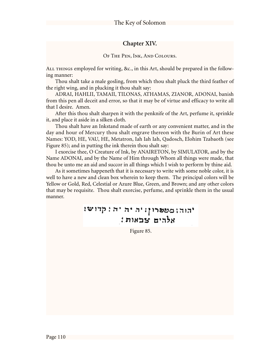### **Chapter XIV.**

### Of The Pen, Ink, And Colours.

All things employed for writing, &c., in this Art, should be prepared in the following manner:

Thou shalt take a male gosling, from which thou shalt pluck the third feather of the right wing, and in plucking it thou shalt say:

ADRAI, HAHLII, TAMAII, TILONAS, ATHAMAS, ZIANOR, ADONAI, banish from this pen all deceit and error, so that it may be of virtue and efficacy to write all that I desire. Amen.

After this thou shalt sharpen it with the penknife of the Art, perfume it, sprinkle it, and place it aside in a silken cloth.

Thou shalt have an Inkstand made of earth or any convenient matter, and in the day and hour of Mercury thou shalt engrave thereon with the Burin of Art these Names: YOD, HE, VAU, HE, Metatron, Iah Iah Iah, Qadosch, Elohim Tzabaoth (see Figure 85); and in putting the ink therein thou shalt say:

I exorcise thee, O Creature of Ink, by ANAIRETON, by SIMULATOR, and by the Name ADONAI, and by the Name of Him through Whom all things were made, that thou be unto me an aid and succor in all things which I wish to perform by thine aid.

As it sometimes happeneth that it is necessary to write with some noble color, it is well to have a new and clean box wherein to keep them. The principal colors will be Yellow or Gold, Red, Celestial or Azure Blue, Green, and Brown; and any other colors that may be requisite. Thou shalt exorcise, perfume, and sprinkle them in the usual manner.

## יהוה: משפרון: יה יה יה: קדוש: אלהים צבאות:

Figure 85.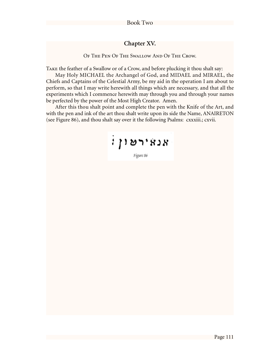### **Chapter XV.**

Of The Pen Of The Swallow And Of The Crow.

Take the feather of a Swallow or of a Crow, and before plucking it thou shalt say:

May Holy MICHAEL the Archangel of God, and MIDAEL and MIRAEL, the Chiefs and Captains of the Celestial Army, be my aid in the operation I am about to perform, so that I may write herewith all things which are necessary, and that all the experiments which I commence herewith may through you and through your names be perfected by the power of the Most High Creator. Amen.

After this thou shalt point and complete the pen with the Knife of the Art, and with the pen and ink of the art thou shalt write upon its side the Name, ANAIRETON (see Figure 86), and thou shalt say over it the following Psalms: cxxxiii.; cxvii.



Figure 86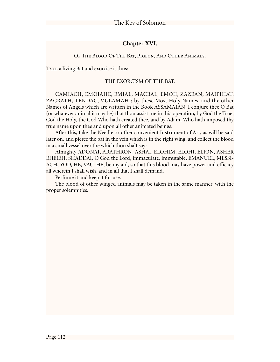### **Chapter XVI.**

### Of The Blood Of The Bat, Pigeon, And Other Animals.

Take a living Bat and exorcise it thus:

### THE EXORCISM OF THE BAT.

CAMIACH, EMOIAHE, EMIAL, MACBAL, EMOII, ZAZEAN, MAIPHIAT, ZACRATH, TENDAC, VULAMAHI; by these Most Holy Names, and the other Names of Angels which are written in the Book ASSAMAIAN, I conjure thee O Bat (or whatever animal it may be) that thou assist me in this operation, by God the True, God the Holy, the God Who hath created thee, and by Adam, Who hath imposed thy true name upon thee and upon all other animated beings.

After this, take the Needle or other convenient Instrument of Art, as will be said later on, and pierce the bat in the vein which is in the right wing; and collect the blood in a small vessel over the which thou shalt say:

Almighty ADONAI, ARATHRON, ASHAI, ELOHIM, ELOHI, ELION, ASHER EHEIEH, SHADDAI, O God the Lord, immaculate, immutable, EMANUEL, MESSI-ACH, YOD, HE, VAU, HE, be my aid, so that this blood may have power and efficacy all wherein I shall wish, and in all that I shall demand.

Perfume it and keep it for use.

The blood of other winged animals may be taken in the same manner, with the proper solemnities.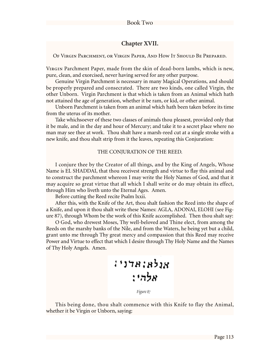### **Chapter XVII.**

Of Virgin Parchment, or Virgin Paper, And How It Should Be Prepared.

Virgin Parchment Paper, made from the skin of dead-born lambs, which is new, pure, clean, and exorcised, never having served for any other purpose.

Genuine Virgin Parchment is necessary in many Magical Operations, and should be properly prepared and consecrated. There are two kinds, one called Virgin, the other Unborn. Virgin Parchment is that which is taken from an Animal which hath not attained the age of generation, whether it be ram, or kid, or other animal.

Unborn Parchment is taken from an animal which hath been taken before its time from the uterus of its mother.

Take whichsoever of these two classes of animals thou pleasest, provided only that it be male, and in the day and hour of Mercury; and take it to a secret place where no man may see thee at work. Thou shalt have a marsh-reed cut at a single stroke with a new knife, and thou shalt strip from it the leaves, repeating this Conjuration:

#### THE CONJURATION OF THE REED.

I conjure thee by the Creator of all things, and by the King of Angels, Whose Name is EL SHADDAI, that thou receivest strength and virtue to flay this animal and to construct the parchment whereon I may write the Holy Names of God, and that it may acquire so great virtue that all which I shall write or do may obtain its effect, through Him who liveth unto the Eternal Ages. Amen.

Before cutting the Reed recite Psalm lxxii.

After this, with the Knife of the Art, thou shalt fashion the Reed into the shape of a Knife, and upon it thou shalt write these Names: AGLA, ADONAI, ELOHI (see Figure 87), through Whom be the work of this Knife accomplished. Then thou shalt say:

O God, who drewest Moses, Thy well-beloved and Thine elect, from among the Reeds on the marshy banks of the Nile, and from the Waters, he being yet but a child, grant unto me through Thy great mercy and compassion that this Reed may receive Power and Virtue to effect that which I desire through Thy Holy Name and the Names of Thy Holy Angels. Amen.



Fígure 87

This being done, thou shalt commence with this Knife to flay the Animal, whether it be Virgin or Unborn, saying: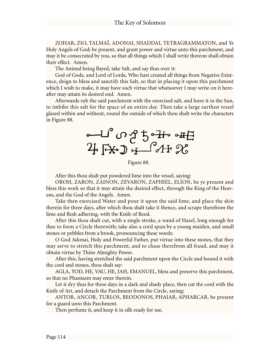ZOHAR, ZIO, TALMAÏ, ADONAI, SHADDAI, TETRAGRAMMATON, and Ye Holy Angels of God; be present, and grant power and virtue unto this parchment, and may it be consecrated by you, so that all things which I shall write thereon shall obtain their effect. Amen.

The Animal being flayed, take Salt, and say thus over it:

God of Gods, and Lord of Lords, Who hast created all things from Negative Existence, deign to bless and sanctify this Salt, so that in placing it upon this parchment which I wish to make, it may have such virtue that whatsoever I may write on it hereafter may attain its desired end. Amen.

Afterwards rub the said parchment with the exorcised salt, and leave it in the Sun, to imbibe this salt for the space of an entire day. Then take a large earthen vessel glazed within and without, round the outside of which thou shalt write the characters in Figure 88.

 $-10095 - 704$ 

Figure 88.

After this thou shalt put powdered lime into the vessel, saying:

OROH, ZARON, ZAINON, ZEVARON, ZAPHIEL, ELION, be ye present and bless this work so that it may attain the desired effect, through the King of the Heavens, and the God of the Angels. Amen.

Take then exorcised Water and pour it upon the said lime, and place the skin therein for three days, after which thou shalt take it thence, and scrape therefrom the lime and flesh adhering, with the Knife of Reed.

After this thou shalt cut, with a single stroke, a wand of Hazel, long enough for thee to form a Circle therewith; take also a cord spun by a young maiden, and small stones or pebbles from a brook, pronouncing these words:

O God Adonai, Holy and Powerful Father, put virtue into these stones, that they may serve to stretch this parchment, and to chase therefrom all fraud, and may it obtain virtue by Thine Almighty Power.

After this, having stretched the said parchment upon the Circle and bound it with the cord and stones, thou shalt say:

AGLA, YOD, HE, VAU, HE, IAH, EMANUEL, bless and preserve this parchment, so that no Phantasm may enter therein.

Let it dry thus for three days in a dark and shady place, then cut the cord with the Knife of Art, and detach the Parchment from the Circle, saying:

ANTOR, ANCOR, TURLOS, BEODONOS, PHAIAR, APHARCAR, be present for a guard unto this Parchment.

Then perfume it, and keep it in silk ready for use.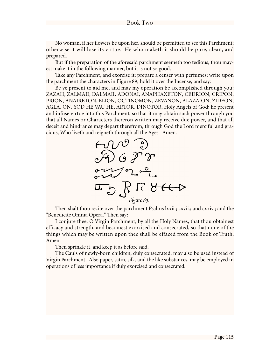No woman, if her flowers be upon her, should be permitted to see this Parchment; otherwise it will lose its virtue. He who maketh it should be pure, clean, and prepared.

But if the preparation of the aforesaid parchment seemeth too tedious, thou mayest make it in the following manner, but it is not so good.

Take any Parchment, and exorcise it; prepare a censer with perfumes; write upon the parchment the characters in Figure 89, hold it over the Incense, and say:

Be ye present to aid me, and may my operation be accomplished through you: ZAZAH, ZALMAII, DALMAII, ADONAI, ANAPHAXETON, CEDRION, CRIPON, PRION, ANAIRETON, ELION, OCTINOMON, ZEVANON, ALAZAION, ZIDEON, AGLA, ON, YOD HE VAU HE, ARTOR, DINOTOR, Holy Angels of God; he present and infuse virtue into this Parchment, so that it may obtain such power through you that all Names or Characters thereron written may receive due power, and that all deceit and hindrance may depart therefrom, through God the Lord merciful and gracious, Who liveth and reigneth through all the Ages. Amen.



Then shalt thou recite over the parchment Psalms lxxii.; cxvii.; and cxxiv.; and the "Benedicite Omnia Opera." Then say:

I conjure thee, O Virgin Parchment, by all the Holy Names, that thou obtainest efficacy and strength, and becomest exorcised and consecrated, so that none of the things which may be written upon thee shall be effaced from the Book of Truth. Amen.

Then sprinkle it, and keep it as before said.

The Cauls of newly-born children, duly consecrated, may also be used instead of Virgin Parchment. Also paper, satin, silk, and the like substances, may be employed in operations of less importance if duly exorcised and consecrated.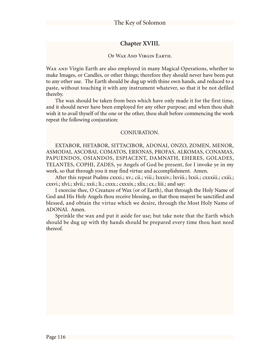### **Chapter XVIII.**

### Of Wax And Virgin Earth.

WAX AND Virgin Earth are also employed in many Magical Operations, whether to make Images, or Candles, or other things; therefore they should never have been put to any other use. The Earth should be dug up with thine own hands, and reduced to a paste, without touching it with any instrument whatever, so that it be not defiled thereby.

The wax should be taken from bees which have only made it for the first time, and it should never have been employed for any other purpose; and when thou shalt wish it to avail thyself of the one or the other, thou shalt before commencing the work repeat the following conjuration:

### CONJURATION.

EXTABOR, HETABOR, SITTACIBOR, ADONAI, ONZO, ZOMEN, MENOR, ASMODAI, ASCOBAI, COMATOS, ERIONAS, PROFAS, ALKOMAS, CONAMAS, PAPUENDOS, OSIANDOS, ESPIACENT, DAMNATH, EHERES, GOLADES, TELANTES, COPHI, ZADES, ye Angels of God be present, for I invoke ye in my work, so that through you it may find virtue and accomplishment. Amen.

After this repeat Psalms cxxxi.; xv.; cii.; viii.; lxxxiv.; lxviii.; lxxii.; cxxxiii.; cxiii.; cxxvi.; xlvi.; xlvii.; xxii.; li.; cxxx.; cxxxix.; xlix.; cx.; liii.; and say:

I exorcise thee, O Creature of Wax (or of Earth), that through the Holy Name of God and His Holy Angels thou receive blessing, so that thou mayest be sanctified and blessed, and obtain the virtue which we desire, through the Most Holy Name of ADONAI. Amen.

Sprinkle the wax and put it aside for use; but take note that the Earth which should be dug up with thy hands should be prepared every time thou hast need thereof.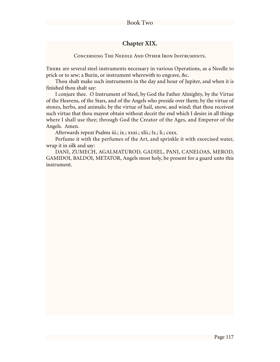### **Chapter XIX.**

Concerning The Needle And Other Iron Instruments.

There are several steel instruments necessary in various Operations, as a Needle to prick or to sew; a Burin, or instrument wherewith to engrave, &c.

Thou shalt make such instruments in the day and hour of Jupiter, and when it is finished thou shalt say:

I conjure thee. O Instrument of Steel, by God the Father Almighty, by the Virtue of the Heavens, of the Stars, and of the Angels who preside over them; by the virtue of stones, herbs, and animals; by the virtue of hail, snow, and wind; that thou receivest such virtue that thou mayest obtain without deceit the end which I desire in all things where I shall use thee; through God the Creator of the Ages, and Emperor of the Angels. Amen.

Afterwards repeat Psalms iii.; ix.; xxxi.; xlii.; lx.; li.; cxxx.

Perfume it with the perfumes of the Art, and sprinkle it with exorcised water, wrap it in silk and say:

DANI, ZUMECH, AGALMATUROD, GADIEL, PANI, CANELOAS, MEROD, GAMIDOI, BALDOI, METATOR, Angels most holy, be present for a guard unto this instrument.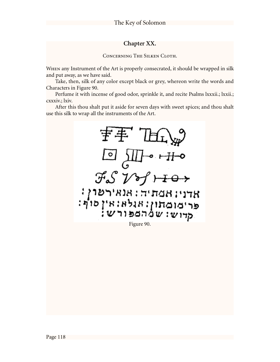### **Chapter XX.**

Concerning The Silken Cloth.

When any Instrument of the Art is properly consecrated, it should be wrapped in silk and put away, as we have said.

Take, then, silk of any color except black or grey, whereon write the words and Characters in Figure 90.

Perfume it with incense of good odor, sprinkle it, and recite Psalms lxxxii.; lxxii.; cxxxiv.; lxiv.

After this thou shalt put it aside for seven days with sweet spices; and thou shalt use this silk to wrap all the instruments of the Art.

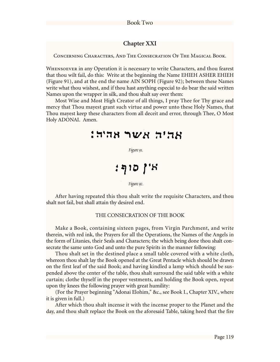### **Chapter XXI**

Concerning Characters, And The Consecration Of The Magical Book.

Whensoever in any Operation it is necessary to write Characters, and thou fearest that thou wilt fail, do this: Write at the beginning the Name EHIEH ASHER EHIEH (Figure 91), and at the end the name AIN SOPH (Figure 92); between these Names write what thou wishest, and if thou hast anything especial to do bear the said written Names upon the wrapper in silk, and thou shalt say over them:

Most Wise and Most High Creator of all things, I pray Thee for Thy grace and mercy that Thou mayest grant such virtue and power unto these Holy Names, that Thou mayest keep these characters from all deceit and error, through Thee, O Most Holy ADONAI. Amen.

## $1553$   $502$   $7158$

Figure 91.

 $: 71D$   $'$ K

Fígure 92.

After having repeated this thou shalt write the requisite Characters, and thou shalt not fail, but shall attain thy desired end.

#### THE CONSECRATION OF THE BOOK

Make a Book, containing sixteen pages, from Virgin Parchment, and write therein, with red ink, the Prayers for all the Operations, the Names of the Angels in the form of Litanies, their Seals and Characters; the which being done thou shalt consecrate the same unto God and unto the pure Spirits in the manner following:

Thou shalt set in the destined place a small table covered with a white cloth, whereon thou shalt lay the Book opened at the Great Pentacle which should be drawn on the first leaf of the said Book; and having kindled a lamp which should be suspended above the center of the table, thou shalt surround the said table with a white curtain; clothe thyself in the proper vestments, and holding the Book open, repeat upon thy knees the following prayer with great humility:

(For the Prayer beginning "Adonai Elohim," &c., see Book I., Chapter XIV., where it is given in full.)

After which thou shalt incense it with the incense proper to the Planet and the day, and thou shalt replace the Book on the aforesaid Table, taking heed that the fire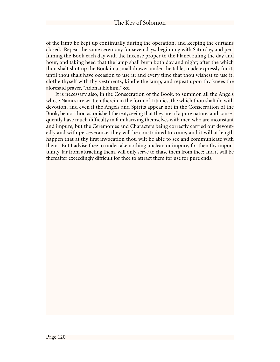### The Key of Solomon

of the lamp be kept up continually during the operation, and keeping the curtains closed. Repeat the same ceremony for seven days, beginning with Saturday, and perfuming the Book each day with the Incense proper to the Planet ruling the day and hour, and taking heed that the lamp shall burn both day and night; after the which thou shalt shut up the Book in a small drawer under the table, made expressly for it, until thou shalt have occasion to use it; and every time that thou wishest to use it, clothe thyself with thy vestments, kindle the lamp, and repeat upon thy knees the aforesaid prayer, "Adonai Elohim." &c.

It is necessary also, in the Consecration of the Book, to summon all the Angels whose Names are written therein in the form of Litanies, the which thou shalt do with devotion; and even if the Angels and Spirits appear not in the Consecration of the Book, be not thou astonished thereat, seeing that they are of a pure nature, and consequently have much difficulty in familiarizing themselves with men who are inconstant and impure, but the Ceremonies and Characters being correctly carried out devoutedly and with perseverance, they will be constrained to come, and it will at length happen that at thy first invocation thou wilt be able to see and communicate with them. But I advise thee to undertake nothing unclean or impure, for then thy importunity, far from attracting them, will only serve to chase them from thee; and it will be thereafter exceedingly difficult for thee to attract them for use for pure ends.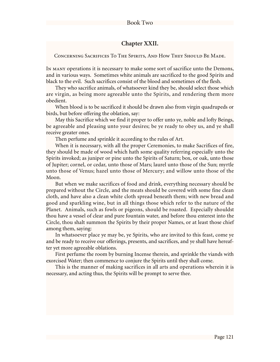### **Chapter XXII.**

Concerning Sacrifices To The Spirits, And How They Should Be Made.

In many operations it is necessary to make some sort of sacrifice unto the Demons, and in various ways. Sometimes white animals are sacrificed to the good Spirits and black to the evil. Such sacrifices consist of the blood and sometimes of the flesh.

They who sacrifice animals, of whatsoever kind they be, should select those which are virgin, as being more agreeable unto the Spirits, and rendering them more obedient.

When blood is to be sacrificed it should be drawn also from virgin quadrupeds or birds, but before offering the oblation, say:

May this Sacrifice which we find it proper to offer unto ye, noble and lofty Beings, be agreeable and pleasing unto your desires; be ye ready to obey us, and ye shall receive greater ones.

Then perfume and sprinkle it according to the rules of Art.

When it is necessary, with all the proper Ceremonies, to make Sacrifices of fire, they should be made of wood which hath some quality referring especially unto the Spirits invoked; as juniper or pine unto the Spirits of Saturn; box, or oak, unto those of Jupiter; cornel, or cedar, unto those of Mars; laurel unto those of the Sun; myrtle unto those of Venus; hazel unto those of Mercury; and willow unto those of the Moon.

But when we make sacrifices of food and drink, everything necessary should be prepared without the Circle, and the meats should be covered with some fine clean cloth, and have also a clean white cloth spread beneath them; with new bread and good and sparkling wine, but in all things those which refer to the nature of the Planet. Animals, such as fowls or pigeons, should be roasted. Especially shouldst thou have a vessel of clear and pure fountain water, and before thou enterest into the Circle, thou shalt summon the Spirits by their proper Names, or at least those chief among them, saying:

In whatsoever place ye may be, ye Spirits, who are invited to this feast, come ye and be ready to receive our offerings, presents, and sacrifices, and ye shall have hereafter yet more agreeable oblations.

First perfume the room by burning Incense therein, and sprinkle the viands with exorcised Water; then commence to conjure the Spirits until they shall come.

This is the manner of making sacrifices in all arts and operations wherein it is necessary, and acting thus, the Spirits will be prompt to serve thee.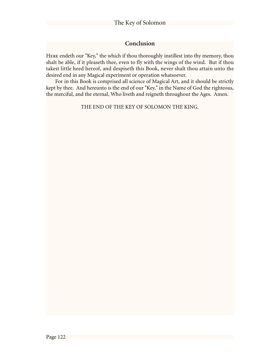### **Conclusion**

Here endeth our "Key," the which if thou thoroughly instillest into thy memory, thou shalt be able, if it pleaseth thee, even to fly with the wings of the wind. But if thou takest little heed hereof, and despiseth this Book, never shalt thou attain unto the desired end in any Magical experiment or operation whatsoever.

For in this Book is comprised all science of Magical Art, and it should be strictly kept by thee. And hereunto is the end of our "Key," in the Name of God the righteous, the merciful, and the eternal, Who liveth and reigneth throughout the Ages. Amen.

THE END OF THE KEY OF SOLOMON THE KING.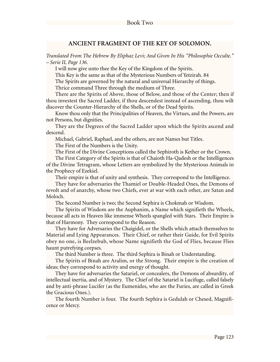### **ANCIENT FRAGMENT OF THE KEY OF SOLOMON.**

*Translated From The Hebrew By Eliphaz Levi; And Given In His "Philosophie Occulte." – Serie II, Page 136.*

I will now give unto thee the Key of the Kingdom of the Spirits.

This Key is the same as that of the Mysterious Numbers of Yetzirah. 84

The Spirits are governed by the natural and universal Hierarchy of things.

Thrice command Three through the medium of Three.

There are the Spirits of Above, those of Below, and those of the Center; then if thou investest the Sacred Ladder, if thou descendest instead of ascending, thou wilt discover the Counter-Hierarchy of the Shells, or of the Dead Spirits.

Know thou only that the Principalities of Heaven, the Virtues, and the Powers, are not Persons, but dignities.

They are the Degrees of the Sacred Ladder upon which the Spirits ascend and descend.

Michael, Gabriel, Raphael, and the others, are not Names but Titles.

The First of the Numbers is the Unity.

The First of the Divine Conceptions called the Sephiroth is Kether or the Crown.

The First Category of the Spirits is that of Chaioth Ha-Qadesh or the Intelligences of the Divine Tetragram, whose Letters are symbolized by the Mysterious Animals in the Prophecy of Ezekiel.

Their empire is that of unity and synthesis. They correspond to the Intelligence.

They have for adversaries the Thamiel or Double-Headed Ones, the Demons of revolt and of anarchy, whose two Chiefs, ever at war with each other, are Satan and Moloch.

The Second Number is two; the Second Sephira is Chokmah or Wisdom.

The Spirits of Wisdom are the Auphanim, a Name which signifieth the Wheels, because all acts in Heaven like immense Wheels spangled with Stars. Their Empire is that of Harmony. They correspond to the Reason.

They have for Adversaries the Chaigidel, or the Shells which attach themselves to Material and Lying Appearances. Their Chief, or rather their Guide, for Evil Spirits obey no one, is Beelzebub, whose Name signifieth the God of Flies, because Flies haunt putrefying corpses.

The third Number is three. The third Sephira is Binah or Understanding.

The Spirits of Binah are Aralim, or the Strong. Their empire is the creation of ideas; they correspond to activity and energy of thought.

They have for adversaries the Satariel, or concealers, the Demons of absurdity, of intellectual inertia, and of Mystery. The Chief of the Satariel is Lucifuge, called falsely and by anti-phrase Lucifer (as the Eumenides, who are the Furies, are called in Greek the Gracious Ones.).

The fourth Number is four. The fourth Sephira is Gedulah or Chesed, Magnificence or Mercy.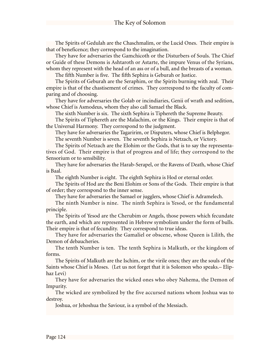The Spirits of Gedulah are the Chaschmalim, or the Lucid Ones. Their empire is that of beneficence; they correspond to the imagination.

They have for adversaries the Gamchicoth or the Disturbers of Souls. The Chief or Guide of these Demons is Ashtaroth or Astarte, the impure Venus of the Syrians, whom they represent with the head of an ass or of a bull, and the breasts of a woman.

The fifth Number is five. The fifth Sephira is Geburah or Justice.

The Spirits of Geburah are the Seraphim, or the Spirits burning with zeal. Their empire is that of the chastisement of crimes. They correspond to the faculty of comparing and of choosing.

They have for adversaries the Golab or incindiaries, Genii of wrath and sedition, whose Chief is Asmodeus, whom they also call Samael the Black.

The sixth Number is six. The sixth Sephira is Tiphereth the Supreme Beauty.

The Spirits of Tiphereth are the Malachim, or the Kings. Their empire is that of the Universal Harmony. They correspond to the judgment.

They have for adversaries the Tagaririm, or Disputers, whose Chief is Belphegor. The seventh Number is seven. The seventh Sephira is Netzach, or Victory.

The Spirits of Netzach are the Elohim or the Gods, that is to say the representatives of God. Their empire is that of progress and of life; they correspond to the Sensorium or to sensibility.

They have for adversaries the Harab-Serapel, or the Ravens of Death, whose Chief is Baal.

The eighth Number is eight. The eighth Sephira is Hod or eternal order.

The Spirits of Hod are the Beni Elohim or Sons of the Gods. Their empire is that of order; they correspond to the inner sense.

They have for adversaries the Samael or jugglers, whose Chief is Adramelech.

The ninth Number is nine. The ninth Sephira is Yesod, or the fundamental principle.

The Spirits of Yesod are the Cherubim or Angels, those powers which fecundate the earth, and which are represented in Hebrew symbolism under the form of bulls. Their empire is that of fecundity. They correspond to true ideas.

They have for adversaries the Gamaliel or obscene, whose Queen is Lilith, the Demon of debaucheries.

The tenth Number is ten. The tenth Sephira is Malkuth, or the kingdom of forms.

The Spirits of Malkuth are the Ischim, or the virile ones; they are the souls of the Saints whose Chief is Moses. (Let us not forget that it is Solomon who speaks.– Eliphaz Levi)

They have for adversaries the wicked ones who obey Nahema, the Demon of Impurity.

The wicked are symbolized by the five accursed nations whom Joshua was to destroy.

Joshua, or Jehoshua the Saviour, is a symbol of the Messiach.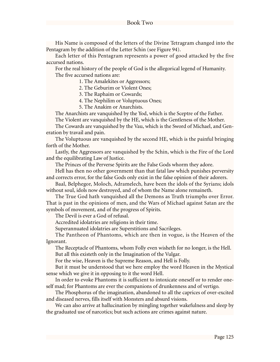His Name is composed of the letters of the Divine Tetragram changed into the Pentagram by the addition of the Letter Schin (see Figure 94).

Each letter of this Pentagram represents a power of good attacked by the five accursed nations.

For the real history of the people of God is the allegorical legend of Humanity. The five accursed nations are:

1. The Amalekites or Aggressors;

2. The Geburim or Violent Ones;

3. The Raphaim or Cowards;

4. The Nephilim or Voluptuous Ones;

5. The Anakim or Anarchists.

The Anarchists are vanquished by the Yod, which is the Sceptre of the Father.

The Violent are vanquished by the HE, which is the Gentleness of the Mother.

The Cowards are vanquished by the Vau, which is the Sword of Michael, and Generation by travail and pain.

The Voluptuous are vanquished by the second HE, which is the painful bringing forth of the Mother.

Lastly, the Aggressors are vanquished by the Schin, which is the Fire of the Lord and the equilibrating Law of Justice.

The Princes of the Perverse Spirits are the False Gods whorm they adore.

Hell has then no other government than that fatal law which punishes perversity and corrects error, for the false Gods only exist in the false opinion of their adorers.

Baal, Belphegor, Moloch, Adramelech, have been the idols of the Syrians; idols without soul, idols now destroyed, and of whom the Name alone remaineth.

The True God hath vanquished all the Demons as Truth triumphs over Error. That is past in the opinions of men, and the Wars of Michael against Satan are the symbols of movement, and of the progress of Spirits.

The Devil is ever a God of refusal.

Accredited idolatries are religions in their time.

Superannuated idolatries are Superstitions and Sacrileges.

The Pantheon of Phantoms, which are then in vogue, is the Heaven of the Ignorant.

The Receptacle of Phantoms, whom Folly even wisheth for no longer, is the Hell. But all this existeth only in the Imagination of the Vulgar.

For the wise, Heaven is the Supreme Reason, and Hell is Folly.

But it must be understood that we here employ the word Heaven in the Mystical sense which we give it in opposing to it the word Hell.

In order to evoke Phantoms it is sufficient to intoxicate oneself or to render oneself mad; for Phantoms are ever the companions of drunkenness and of vertigo.

The Phosphorus of the imagination, abandoned to all the caprices of over-excited and diseased nerves, fills itself with Monsters and absurd visions.

We can also arrive at hallucination by mingling together wakefulness and sleep by the graduated use of narcotics; but such actions are crimes against nature.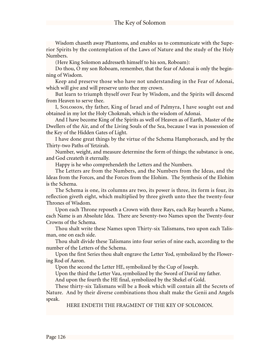### The Key of Solomon

Wisdom chaseth away Phantoms, and enables us to communicate with the Superior Spirits by the contemplation of the Laws of Nature and the study of the Holy Numbers.

(Here King Solomon addresseth himself to his son, Roboam):

Do thou, O my son Roboam, remember, that the fear of Adonai is only the beginning of Wisdom.

Keep and preserve those who have not understanding in the Fear of Adonai, which will give and will preserve unto thee my crown.

But learn to triumph thyself over Fear by Wisdom, and the Spirits will descend from Heaven to serve thee.

I, Solomon, thy father, King of Israel and of Palmyra, I have sought out and obtained in my lot the Holy Chokmah, which is the wisdom of Adonai.

And I have become King of the Spirits as well of Heaven as of Earth, Master of the Dwellers of the Air, and of the Living Souls of the Sea, because I was in possession of the Key of the Hidden Gates of Light.

I have done great things by the virtue of the Schema Hamphorasch, and by the Thirty-two Paths of Yetzirah.

Number, weight, and measure determine the form of things; the substance is one, and God createth it eternally.

Happy is he who comprehendeth the Letters and the Numbers.

The Letters are from the Numbers, and the Numbers from the Ideas, and the Ideas from the Forces, and the Forces from the Elohim. The Synthesis of the Elohim is the Schema.

The Schema is one, its columns are two, its power is three, its form is four, its reflection giveth eight, which multiplied by three giveth unto thee the twenty-four Thrones of Wisdom.

Upon each Throne reposeth a Crown with three Rays, each Ray beareth a Name, each Name is an Absolute Idea. There are Seventy-two Names upon the Twenty-four Crowns of the Schema.

Thou shalt write these Names upon Thirty-six Talismans, two upon each Talisman, one on each side.

Thou shalt divide these Talismans into four series of nine each, according to the number of the Letters of the Schema.

Upon the first Series thou shalt engrave the Letter Yod, symbolized by the Flowering Rod of Aaron.

Upon the second the Letter HE, symbolized by the Cup of Joseph.

Upon the third the Letter Vau, symbolized by the Sword of David my father.

And upon the fourth the HE final, symbolized by the Shekel of Gold.

These thirty-six Talismans will be a Book which will contain all the Secrets of Nature. And by their diverse combinations thou shalt make the Genii and Angels speak.

HERE ENDETH THE FRAGMENT OF THE KEY OF SOLOMON.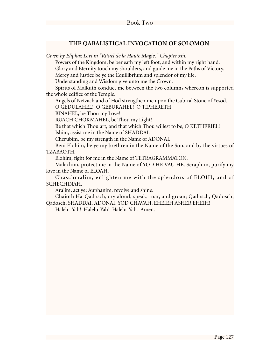### **THE QABALISTICAL INVOCATION OF SOLOMON.**

*Given by Eliphaz Levi in "Rituel de la Haute Magie," Chapter xiii.* Powers of the Kingdom, be beneath my left foot, and within my right hand. Glory and Eternity touch my shoulders, and guide me in the Paths of Victory. Mercy and Justice be ye the Equilibrium and splendor of my life. Understanding and Wisdom give unto me the Crown. Spirits of Malkuth conduct me between the two columns whereon is supported

the whole edifice of the Temple.

Angels of Netzach and of Hod strengthen me upon the Cubical Stone of Yesod. O GEDULAHEL! O GEBURAHEL! O TIPHERETH!

BINAHEL, be Thou my Love!

RUACH CHOKMAHEL, be Thou my Light!

Be that which Thou art, and that which Thou willest to be, O KETHERIEL! Ishim, assist me in the Name of SHADDAI.

Cherubim, be my strength in the Name of ADONAI.

Beni Elohim, be ye my brethren in the Name of the Son, and by the virtues of TZABAOTH.

Elohim, fight for me in the Name of TETRAGRAMMATON.

Malachim, protect me in the Name of YOD HE VAU HE. Seraphim, purify my love in the Name of ELOAH.

Chaschmalim, enlighten me with the splendors of ELOHI, and of SCHECHINAH.

Aralim, act ye; Auphanim, revolve and shine.

Chaioth Ha-Qadosch, cry aloud, speak, roar, and groan; Qadosch, Qadosch, Qadosch, SHADDAI, ADONAI, YOD CHAVAH, EHEIEH ASHER EHEIH!

Halelu-Yah! Halelu-Yah! Halelu-Yah. Amen.